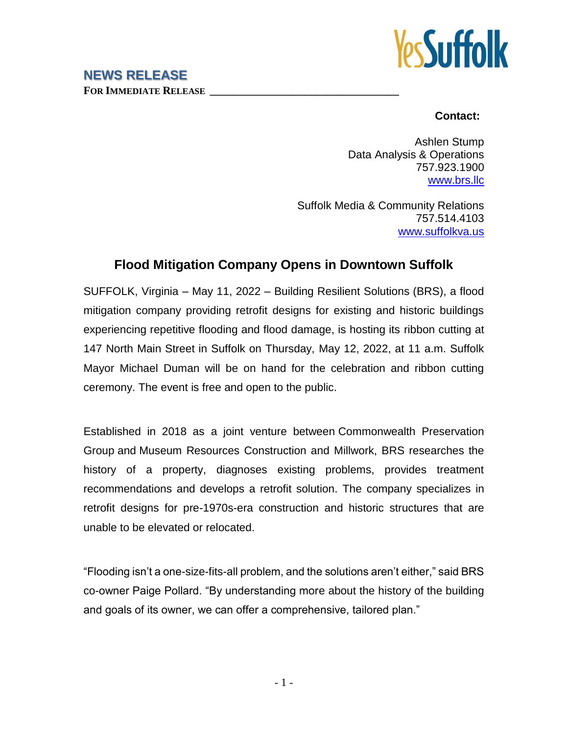## **NEWS RELEASE**

**FOR IMMEDIATE RELEASE \_\_\_\_\_\_\_\_\_\_\_\_\_\_\_\_\_\_\_\_\_\_\_\_\_\_\_\_\_\_\_\_\_\_**



## **Contact:**

Ashlen Stump Data Analysis & Operations 757.923.1900 [www.brs.llc](http://www.brs.llc/)

Suffolk Media & Community Relations 757.514.4103 [www.suffolkva.us](http://www.suffolkva.us/)

## **Flood Mitigation Company Opens in Downtown Suffolk**

SUFFOLK, Virginia – May 11, 2022 – Building Resilient Solutions (BRS), a flood mitigation company providing retrofit designs for existing and historic buildings experiencing repetitive flooding and flood damage, is hosting its ribbon cutting at 147 North Main Street in Suffolk on Thursday, May 12, 2022, at 11 a.m. Suffolk Mayor Michael Duman will be on hand for the celebration and ribbon cutting ceremony. The event is free and open to the public.

Established in 2018 as a joint venture between Commonwealth Preservation Group and Museum Resources [Construction](http://museum-resources.com/) and Millwork, BRS researches the history of a property, diagnoses existing problems, provides treatment recommendations and develops a retrofit solution. The company specializes in retrofit designs for pre-1970s-era construction and historic structures that are unable to be elevated or relocated.

"Flooding isn't a one-size-fits-all problem, and the solutions aren't either," said BRS co-owner Paige Pollard. "By understanding more about the history of the building and goals of its owner, we can offer a comprehensive, tailored plan."